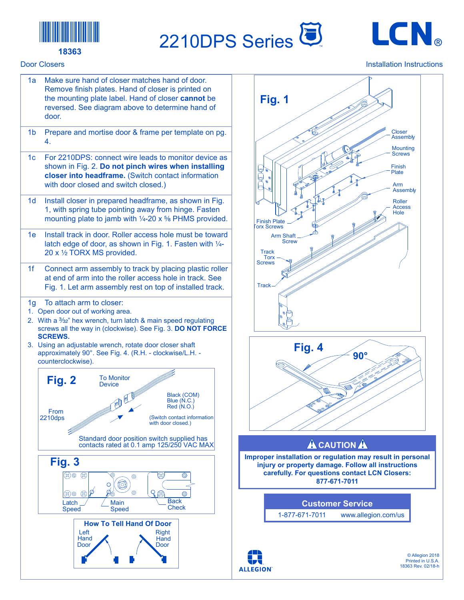

## **18363** TM

## Door Closers





## Installation Instructions

18363 Rev. 02/18-h



**90°**

**ALLEGION** 

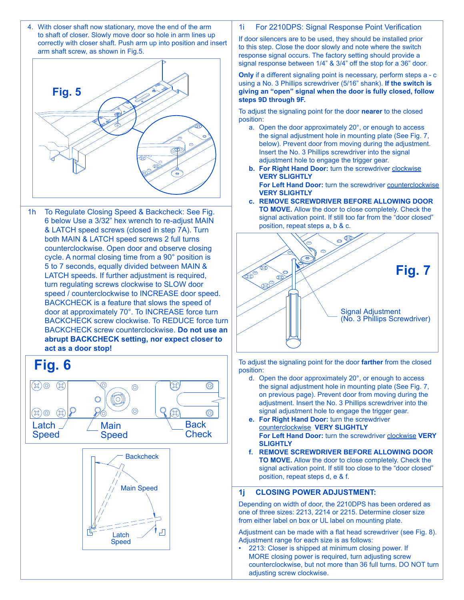4. With closer shaft now stationary, move the end of the arm to shaft of closer. Slowly move door so hole in arm lines up correctly with closer shaft. Push arm up into position and insert arm shaft screw, as shown in Fig.5.



turn regulating screws clockwise to SLOW door speed / counterclockwise to INCREASE door speed. both MAIN & LATCH speed screws 2 full turns BACKCHECK is a feature that slows the speed of cycle. A normal closing time from a 90 $^{\circ}$  position is  $\qquad$  | Backcheck 1h To Regulate Closing Speed & Backcheck: See Fig. 6 below Use a 3/32" hex wrench to re-adjust MAIN & LATCH speed screws (closed in step 7A). Turn counterclockwise. Open door and observe closing 5 to 7 seconds, equally divided between MAIN & LATCH speeds. If further adjustment is required, door at approximately 70°. To INCREASE force turn BACKCHECK screw clockwise. To REDUCE force turn BACKCHECK screw counterclockwise. **Do not use an abrupt BACKCHECK setting, nor expect closer to act as a door stop!**



1i For 2210DPS: Signal Response Point Verification

If door silencers are to be used, they should be installed prior If door silencers are to be used, they should be installed prior<br>to this step. Close the door slowly and note where the switch response signal occurs. The factory setting should provide a signal response between 1/4" & 3/4" off the stop for a 36" door.

**Only** if a different signaling point is necessary, perform steps a - c using a No. 3 Phillips screwdriver (5/16" shank). **If the switch is giving an "open" signal when the door is fully closed, follow**  steps 9D through 9F.<br>\_ Main

To adjust the signaling point for the door **nearer** to the closed position: point for the door **nearer** to the closed

- a. Open the door approximately 20°, or enough to access the signal adjustment hole in mounting plate (See Fig. 7, below). Prevent door from moving during the adjustment. Insert the No. 3 Phillips screwdriver into the signal adjustment hole to engage the trigger gear.
- **b. For Right Hand Door:** turn the screwdriver clockwise **VERY SLIGHTLY**

**For Left Hand Door:** turn the screwdriver counterclockwise **VERY SLIGHTLY**

**c. REMOVE SCREWDRIVER BEFORE ALLOWING DOOR TO MOVE.** Allow the door to close completely. Check the signal activation point. If still too far from the "door closed" position, repeat steps a, b & c.



To adjust the signaling point for the door **farther** from the closed position:

- the signal adjustment hole in mounting plate (See Fig. 7, d. Open the door approximately 20°, or enough to access on previous page). Prevent door from moving during the adjustment. Insert the No. 3 Phillips screwdriver into the signal adjustment hole to engage the trigger gear.
- **For Left Hand Door:** turn the screwdriver **clockwise VERY SLIGHTLY e. For Right Hand Door:** turn the screwdriver counterclockwise **VERY SLIGHTLY**
- **f. REMOVE SCREWDRIVER BEFORE ALLOWING DOOR TO MOVE.** Allow the door to close completely. Check the signal activation point. If still too close to the "door closed" position, repeat steps d, e & f.

## **1j CLOSING POWER ADJUSTMENT:**

Depending on width of door, the 2210DPS has been ordered as one of three sizes: 2213, 2214 or 2215. Determine closer size from either label on box or UL label on mounting plate.

Adjustment can be made with a flat head screwdriver (see Fig. 8). Adjustment range for each size is as follows:

• 2213: Closer is shipped at minimum closing power. If MORE closing power is required, turn adjusting screw counterclockwise, but not more than 36 full turns. DO NOT turn adjusting screw clockwise.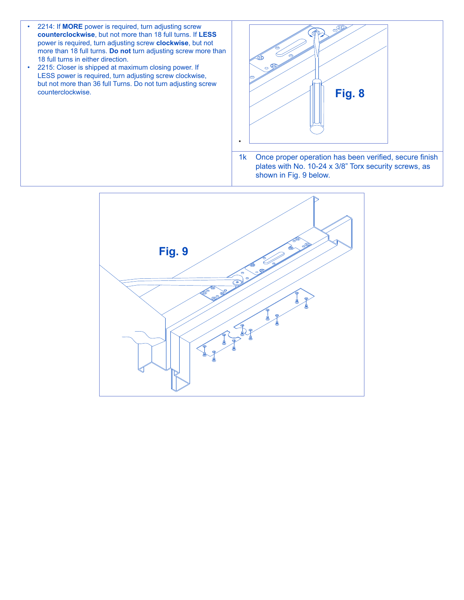- 2214: If **MORE** power is required, turn adjusting screw **counterclockwise**, but not more than 18 full turns. If **LESS** power is required, turn adjusting screw **clockwise**, but not more than 18 full turns. **Do not** turn adjusting screw more than 18 full turns in either direction.
- 2215: Closer is shipped at maximum closing power. If LESS power is required, turn adjusting screw clockwise, but not more than 36 full Turns. Do not turn adjusting screw counterclockwise.